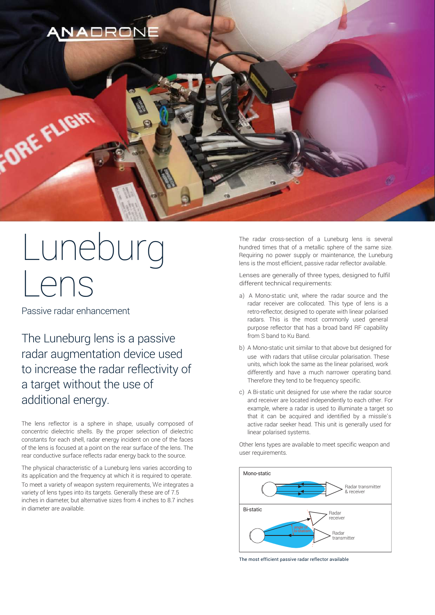

# Luneburg Lens

Passive radar enhancement

The Luneburg lens is a passive radar augmentation device used to increase the radar reflectivity of a target without the use of additional energy.

The lens reflector is a sphere in shape, usually composed of concentric dielectric shells. By the proper selection of dielectric constants for each shell, radar energy incident on one of the faces of the lens is focused at a point on the rear surface of the lens. The rear conductive surface reflects radar energy back to the source.

The physical characteristic of a Luneburg lens varies according to its application and the frequency at which it is required to operate. To meet a variety of weapon system requirements, We integrates a variety of lens types into its targets. Generally these are of 7.5 inches in diameter, but alternative sizes from 4 inches to 8.7 inches in diameter are available.

The radar cross-section of a Luneburg lens is several hundred times that of a metallic sphere of the same size. Requiring no power supply or maintenance, the Luneburg lens is the most efficient, passive radar reflector available.

Lenses are generally of three types, designed to fulfil different technical requirements:

- a) A Mono-static unit, where the radar source and the radar receiver are collocated. This type of lens is a retro-reflector, designed to operate with linear polarised radars. This is the most commonly used general purpose reflector that has a broad band RF capability from S band to Ku Band.
- b) A Mono-static unit similar to that above but designed for use with radars that utilise circular polarisation. These units, which look the same as the linear polarised, work differently and have a much narrower operating band. Therefore they tend to be frequency specific.
- c) A Bi-static unit designed for use where the radar source and receiver are located independently to each other. For example, where a radar is used to illuminate a target so that it can be acquired and identified by a missile's active radar seeker head. This unit is generally used for linear polarised systems.

Other lens types are available to meet specific weapon and user requirements.



The most efficient passive radar reflector available